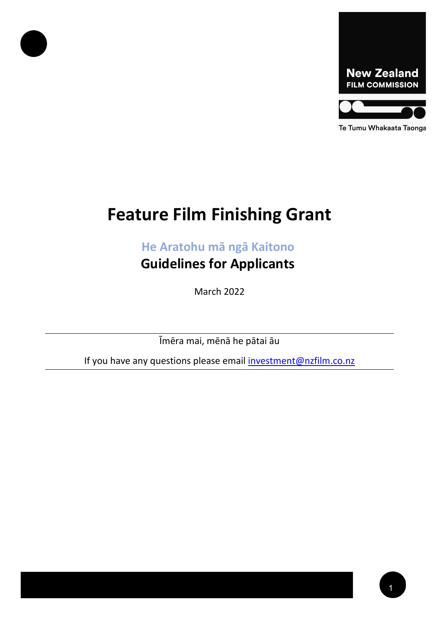

#### Te Tumu Whakaata Taonga

# **Feature Film Finishing Grant**

**He Aratohu mā ngā Kaitono**

**Guidelines for Applicants**

March 2022

Īmēra mai, mēnā he pātai āu

If you have any questions please email **investment@nzfilm.co.nz**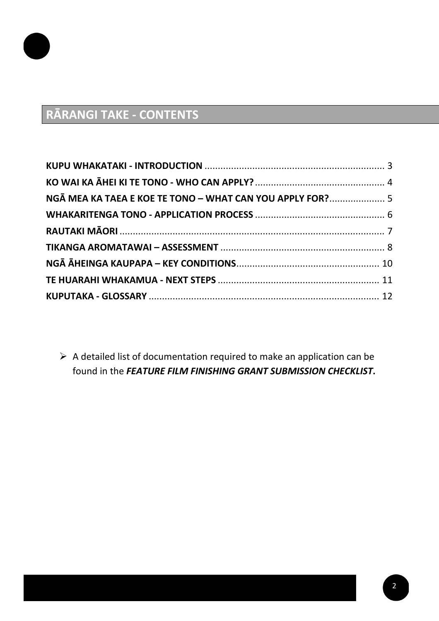

# **RĀRANGI TAKE - CONTENTS**

| NGĀ MEA KA TAEA E KOE TE TONO - WHAT CAN YOU APPLY FOR? 5 |  |
|-----------------------------------------------------------|--|
|                                                           |  |
|                                                           |  |
|                                                           |  |
|                                                           |  |
|                                                           |  |
|                                                           |  |
|                                                           |  |

 $\triangleright$  A detailed list of documentation required to make an application can be found in the *FEATURE FILM FINISHING GRANT SUBMISSION CHECKLIST***.**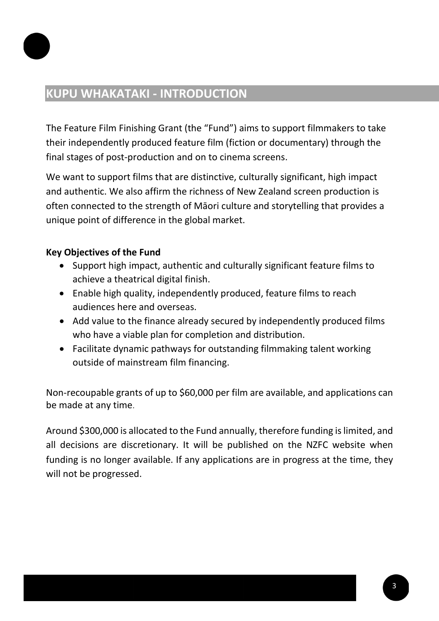

### <span id="page-2-0"></span>**KUPU WHAKATAKI - INTRODUCTION**

The Feature Film Finishing Grant (the "Fund") aims to support filmmakers to take their independently produced feature film (fiction or documentary) through the final stages of post-production and on to cinema screens.

We want to support films that are distinctive, culturally significant, high impact and authentic. We also affirm the richness of New Zealand screen production is often connected to the strength of Māori culture and storytelling that provides a unique point of difference in the global market.

### **Key Objectives of the Fund**

- Support high impact, authentic and culturally significant feature films to achieve a theatrical digital finish.
- Enable high quality, independently produced, feature films to reach audiences here and overseas.
- Add value to the finance already secured by independently produced films who have a viable plan for completion and distribution.
- Facilitate dynamic pathways for outstanding filmmaking talent working outside of mainstream film financing.

Non-recoupable grants of up to \$60,000 per film are available, and applications can be made at any time.

Around \$300,000 is allocated to the Fund annually, therefore funding is limited, and all decisions are discretionary. It will be published on the NZFC website when funding is no longer available. If any applications are in progress at the time, they will not be progressed.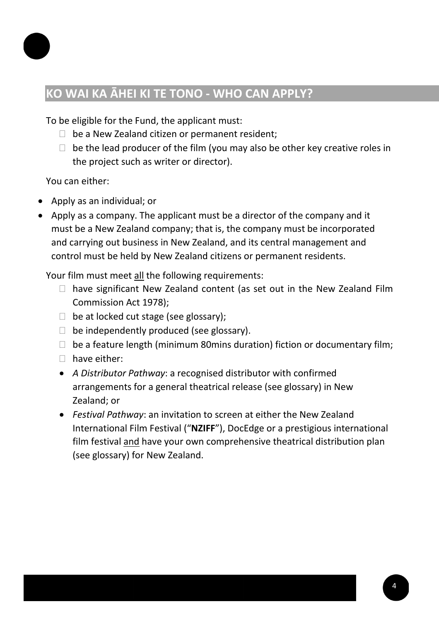

# <span id="page-3-0"></span>**KO WAI KA ĀHEI KI TE TONO - WHO CAN APPLY?**

To be eligible for the Fund, the applicant must:

- $\Box$  be a New Zealand citizen or permanent resident;
- $\Box$  be the lead producer of the film (you may also be other key creative roles in the project such as writer or director).

You can either:

- Apply as an individual; or
- Apply as a company. The applicant must be a director of the company and it must be a New Zealand company; that is, the company must be incorporated and carrying out business in New Zealand, and its central management and control must be held by New Zealand citizens or permanent residents.

Your film must meet all the following requirements:

- $\Box$  have significant New Zealand content (as set out in the New Zealand Film Commission Act 1978);
- $\Box$  be at locked cut stage (see glossary);
- $\Box$  be independently produced (see glossary).
- $\Box$  be a feature length (minimum 80mins duration) fiction or documentary film;
- $\Box$  have either:
- *A Distributor Pathway*: a recognised distributor with confirmed arrangements for a general theatrical release (see glossary) in New Zealand; or
- *Festival Pathway*: an invitation to screen at either the New Zealand International Film Festival ("**NZIFF**"), DocEdge or a prestigious international film festival and have your own comprehensive theatrical distribution plan (see glossary) for New Zealand.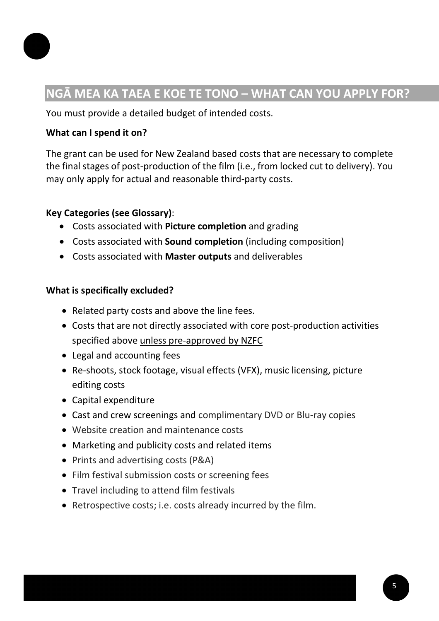

## <span id="page-4-0"></span>**NGĀ MEA KA TAEA E KOE TE TONO – WHAT CAN YOU APPLY FOR?**

You must provide a detailed budget of intended costs.

### **What can I spend it on?**

The grant can be used for New Zealand based costs that are necessary to complete the final stages of post-production of the film (i.e., from locked cut to delivery). You may only apply for actual and reasonable third-party costs.

### **Key Categories (see Glossary)**:

- Costs associated with **Picture completion** and grading
- Costs associated with **Sound completion** (including composition)
- Costs associated with **Master outputs** and deliverables

### **What is specifically excluded?**

- Related party costs and above the line fees.
- Costs that are not directly associated with core post-production activities specified above unless pre-approved by NZFC
- Legal and accounting fees
- Re-shoots, stock footage, visual effects (VFX), music licensing, picture editing costs
- Capital expenditure
- Cast and crew screenings and complimentary DVD or Blu-ray copies
- Website creation and maintenance costs
- Marketing and publicity costs and related items
- Prints and advertising costs (P&A)
- Film festival submission costs or screening fees
- Travel including to attend film festivals
- Retrospective costs; i.e. costs already incurred by the film.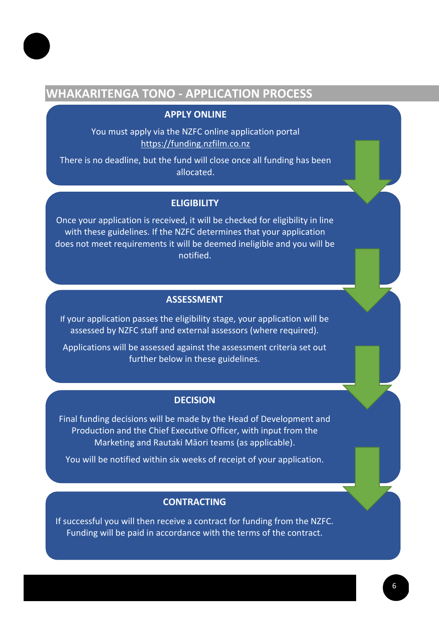

### <span id="page-5-0"></span>**WHAKARITENGA TONO - APPLICATION PROCESS**

#### **APPLY ONLINE**

You must apply via the NZFC online application portal [https://funding.nzfilm.co.nz](https://funding.nzfilm.co.nz/)

There is no deadline, but the fund will close once all funding has been allocated.

#### **ELIGIBILITY**

Once your application is received, it will be checked for eligibility in line with these guidelines. If the NZFC determines that your application does not meet requirements it will be deemed ineligible and you will be notified.

#### **ASSESSMENT**

If your application passes the eligibility stage, your application will be assessed by NZFC staff and external assessors (where required).

Applications will be assessed against the assessment criteria set out further below in these guidelines.

#### **DECISION**

Final funding decisions will be made by the Head of Development and Production and the Chief Executive Officer, with input from the Marketing and Rautaki Māori teams (as applicable).

You will be notified within six weeks of receipt of your application.

#### **CONTRACTING**

If successful you will then receive a contract for funding from the NZFC. Funding will be paid in accordance with the terms of the contract.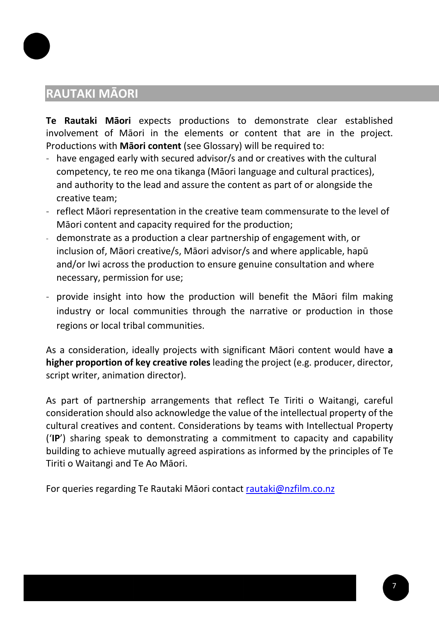### <span id="page-6-0"></span>**RAUTAKI MĀORI**

**Te Rautaki Māori** expects productions to demonstrate clear established involvement of Māori in the elements or content that are in the project. Productions with **Māori content** (see Glossary) will be required to:

- have engaged early with secured advisor/s and or creatives with the cultural competency, te reo me ona tikanga (Māori language and cultural practices), and authority to the lead and assure the content as part of or alongside the creative team;
- reflect Māori representation in the creative team commensurate to the level of Māori content and capacity required for the production;
- demonstrate as a production a clear partnership of engagement with, or inclusion of, Māori creative/s, Māori advisor/s and where applicable, hapū and/or Iwi across the production to ensure genuine consultation and where necessary, permission for use;
- provide insight into how the production will benefit the Māori film making industry or local communities through the narrative or production in those regions or local tribal communities.

As a consideration, ideally projects with significant Māori content would have **a higher proportion of key creative roles** leading the project (e.g. producer, director, script writer, animation director).

As part of partnership arrangements that reflect Te Tiriti o Waitangi, careful consideration should also acknowledge the value of the intellectual property of the cultural creatives and content. Considerations by teams with Intellectual Property ('**IP**') sharing speak to demonstrating a commitment to capacity and capability building to achieve mutually agreed aspirations as informed by the principles of Te Tiriti o Waitangi and Te Ao Māori.

For queries regarding Te Rautaki Māori contact [rautaki@nzfilm.co.nz](mailto:rautaki@nzfilm.co.nz)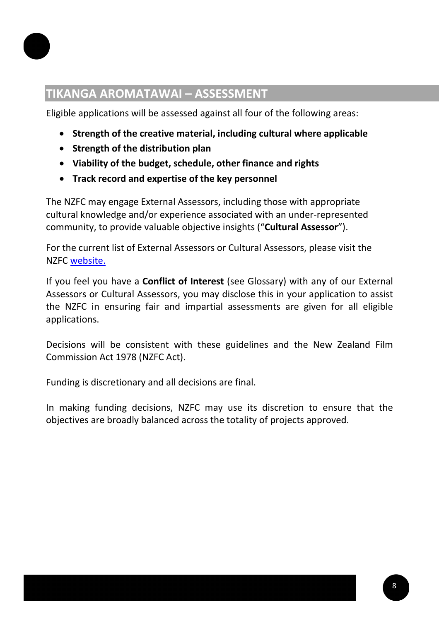

## <span id="page-7-0"></span>**TIKANGA AROMATAWAI – ASSESSMENT**

Eligible applications will be assessed against all four of the following areas:

- **Strength of the creative material, including cultural where applicable**
- **Strength of the distribution plan**
- **Viability of the budget, schedule, other finance and rights**
- **Track record and expertise of the key personnel**

The NZFC may engage External Assessors, including those with appropriate cultural knowledge and/or experience associated with an under-represented community, to provide valuable objective insights ("**Cultural Assessor**").

For the current list of External Assessors or Cultural Assessors, please visit the NZFC [website.](https://www.nzfilm.co.nz/resources/external-assessor-process-production-and-development-funding)

If you feel you have a **Conflict of Interest** (see Glossary) with any of our External Assessors or Cultural Assessors, you may disclose this in your application to assist the NZFC in ensuring fair and impartial assessments are given for all eligible applications.

Decisions will be consistent with these guidelines and the New Zealand Film Commission Act 1978 (NZFC Act).

Funding is discretionary and all decisions are final.

In making funding decisions, NZFC may use its discretion to ensure that the objectives are broadly balanced across the totality of projects approved.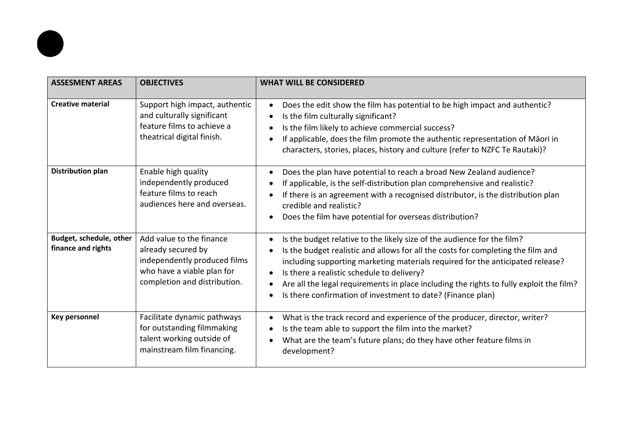| <b>ASSESMENT AREAS</b>                        | <b>OBJECTIVES</b>                                                                                                                            | <b>WHAT WILL BE CONSIDERED</b>                                                                                                                                                                                                                                                                                                                                                                                                                        |
|-----------------------------------------------|----------------------------------------------------------------------------------------------------------------------------------------------|-------------------------------------------------------------------------------------------------------------------------------------------------------------------------------------------------------------------------------------------------------------------------------------------------------------------------------------------------------------------------------------------------------------------------------------------------------|
| <b>Creative material</b>                      | Support high impact, authentic<br>and culturally significant<br>feature films to achieve a<br>theatrical digital finish.                     | Does the edit show the film has potential to be high impact and authentic?<br>Is the film culturally significant?<br>Is the film likely to achieve commercial success?<br>If applicable, does the film promote the authentic representation of Māori in<br>characters, stories, places, history and culture (refer to NZFC Te Rautaki)?                                                                                                               |
| Distribution plan                             | Enable high quality<br>independently produced<br>feature films to reach<br>audiences here and overseas.                                      | Does the plan have potential to reach a broad New Zealand audience?<br>$\bullet$<br>If applicable, is the self-distribution plan comprehensive and realistic?<br>If there is an agreement with a recognised distributor, is the distribution plan<br>credible and realistic?<br>Does the film have potential for overseas distribution?                                                                                                               |
| Budget, schedule, other<br>finance and rights | Add value to the finance<br>already secured by<br>independently produced films<br>who have a viable plan for<br>completion and distribution. | Is the budget relative to the likely size of the audience for the film?<br>Is the budget realistic and allows for all the costs for completing the film and<br>including supporting marketing materials required for the anticipated release?<br>Is there a realistic schedule to delivery?<br>Are all the legal requirements in place including the rights to fully exploit the film?<br>Is there confirmation of investment to date? (Finance plan) |
| <b>Key personnel</b>                          | Facilitate dynamic pathways<br>for outstanding filmmaking<br>talent working outside of<br>mainstream film financing.                         | What is the track record and experience of the producer, director, writer?<br>Is the team able to support the film into the market?<br>What are the team's future plans; do they have other feature films in<br>development?                                                                                                                                                                                                                          |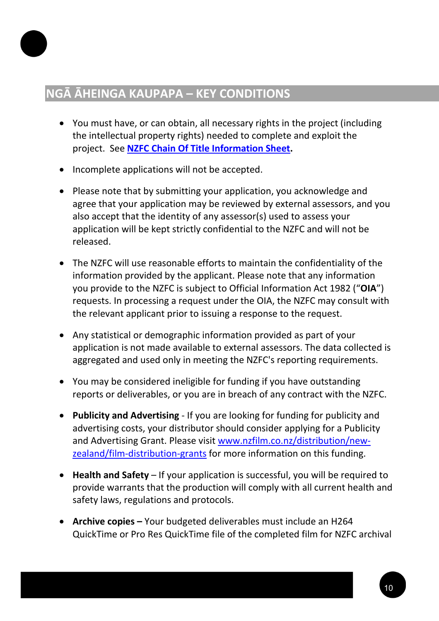### <span id="page-9-0"></span>**NGĀ ĀHEINGA KAUPAPA – KEY CONDITIONS**

- You must have, or can obtain, all necessary rights in the project (including the intellectual property rights) needed to complete and exploit the project. See **[NZFC Chain Of Title Information Sheet](https://www.nzfilm.co.nz/resources/chain-title-information-sheet).**
- Incomplete applications will not be accepted.
- Please note that by submitting your application, you acknowledge and agree that your application may be reviewed by external assessors, and you also accept that the identity of any assessor(s) used to assess your application will be kept strictly confidential to the NZFC and will not be released.
- The NZFC will use reasonable efforts to maintain the confidentiality of the information provided by the applicant. Please note that any information you provide to the NZFC is subject to Official Information Act 1982 ("**OIA**") requests. In processing a request under the OIA, the NZFC may consult with the relevant applicant prior to issuing a response to the request.
- Any statistical or demographic information provided as part of your application is not made available to external assessors. The data collected is aggregated and used only in meeting the NZFC's reporting requirements.
- You may be considered ineligible for funding if you have outstanding reports or deliverables, or you are in breach of any contract with the NZFC.
- **Publicity and Advertising** If you are looking for funding for publicity and advertising costs, your distributor should consider applying for a Publicity and Advertising Grant. Please visit [www.nzfilm.co.nz/distribution/new](http://www.nzfilm.co.nz/distribution/new-zealand/film-distribution-grants)[zealand/film](http://www.nzfilm.co.nz/distribution/new-zealand/film-distribution-grants)-distribution-grants for more information on this funding.
- **Health and Safety**  If your application is successful, you will be required to provide warrants that the production will comply with all current health and safety laws, regulations and protocols.
- **Archive copies** Your budgeted deliverables must include an H264 QuickTime or Pro Res QuickTime file of the completed film for NZFC archival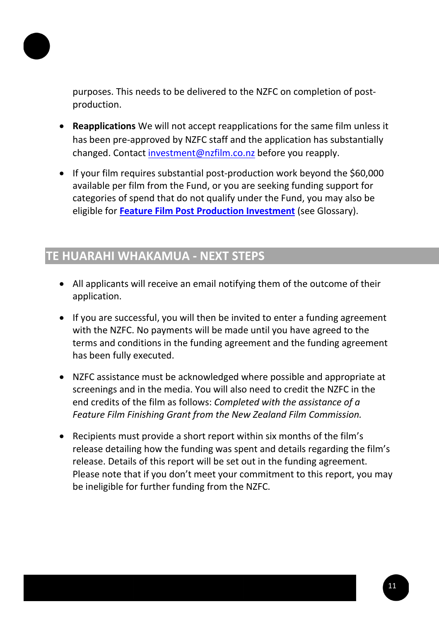

purposes. This needs to be delivered to the NZFC on completion of postproduction.

- **Reapplications** We will not accept reapplications for the same film unless it has been pre-approved by NZFC staff and the application has substantially changed. Contact [investment@nzfilm.co.nz](mailto:investment@nzfilm.co.nz) before you reapply.
- If your film requires substantial post-production work beyond the \$60,000 available per film from the Fund, or you are seeking funding support for categories of spend that do not qualify under the Fund, you may also be eligible for **[Feature Film Post Production Investment](https://www.nzfilm.co.nz/funds/feature-film-post-production-investment)** (see Glossary).

### <span id="page-10-0"></span>**TE HUARAHI WHAKAMUA - NEXT STEPS**

- All applicants will receive an email notifying them of the outcome of their application.
- If you are successful, you will then be invited to enter a funding agreement with the NZFC. No payments will be made until you have agreed to the terms and conditions in the funding agreement and the funding agreement has been fully executed.
- NZFC assistance must be acknowledged where possible and appropriate at screenings and in the media. You will also need to credit the NZFC in the end credits of the film as follows: *Completed with the assistance of a Feature Film Finishing Grant from the New Zealand Film Commission.*
- Recipients must provide a short report within six months of the film's release detailing how the funding was spent and details regarding the film's release. Details of this report will be set out in the funding agreement. Please note that if you don't meet your commitment to this report, you may be ineligible for further funding from the NZFC.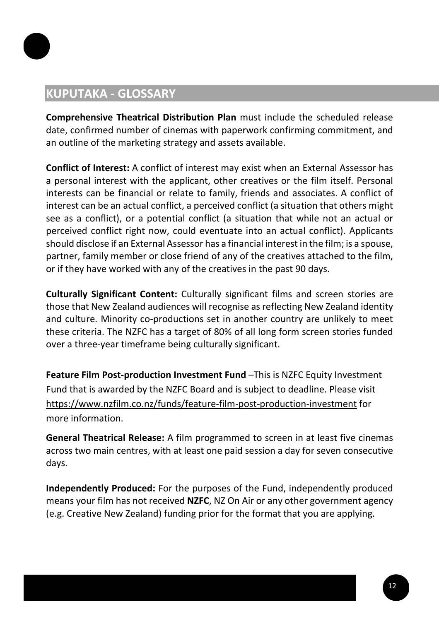

### <span id="page-11-0"></span>**KUPUTAKA - GLOSSARY**

**Comprehensive Theatrical Distribution Plan** must include the scheduled release date, confirmed number of cinemas with paperwork confirming commitment, and an outline of the marketing strategy and assets available.

**Conflict of Interest:** A conflict of interest may exist when an External Assessor has a personal interest with the applicant, other creatives or the film itself. Personal interests can be financial or relate to family, friends and associates. A conflict of interest can be an actual conflict, a perceived conflict (a situation that others might see as a conflict), or a potential conflict (a situation that while not an actual or perceived conflict right now, could eventuate into an actual conflict). Applicants should disclose if an External Assessor has a financial interest in the film; is a spouse, partner, family member or close friend of any of the creatives attached to the film, or if they have worked with any of the creatives in the past 90 days.

**Culturally Significant Content:** Culturally significant films and screen stories are those that New Zealand audiences will recognise as reflecting New Zealand identity and culture. Minority co-productions set in another country are unlikely to meet these criteria. The NZFC has a target of 80% of all long form screen stories funded over a three-year timeframe being culturally significant.

**Feature Film Post-production Investment Fund** –This is NZFC Equity Investment Fund that is awarded by the NZFC Board and is subject to deadline. Please visit [https://www.nzfilm.co.nz/funds/feature](https://www.nzfilm.co.nz/funds/feature-film-post-production-investment)-film-post-production-investment for more information.

**General Theatrical Release:** A film programmed to screen in at least five cinemas across two main centres, with at least one paid session a day for seven consecutive days.

**Independently Produced:** For the purposes of the Fund, independently produced means your film has not received **NZFC**, NZ On Air or any other government agency (e.g. Creative New Zealand) funding prior for the format that you are applying.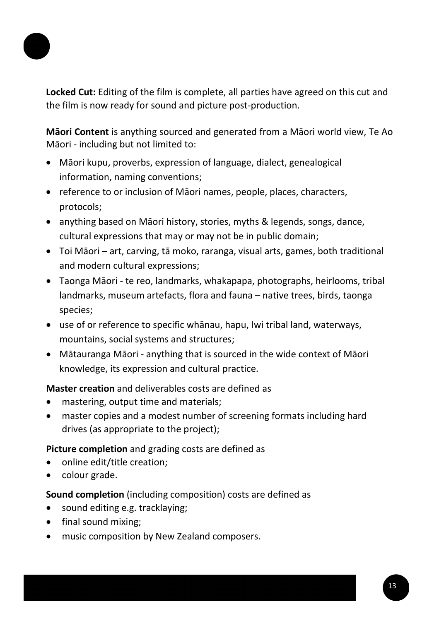

**Locked Cut:** Editing of the film is complete, all parties have agreed on this cut and the film is now ready for sound and picture post-production.

**Māori Content** is anything sourced and generated from a Māori world view, Te Ao Māori - including but not limited to:

- Māori kupu, proverbs, expression of language, dialect, genealogical information, naming conventions;
- reference to or inclusion of Māori names, people, places, characters, protocols;
- anything based on Māori history, stories, myths & legends, songs, dance, cultural expressions that may or may not be in public domain;
- Toi Māori art, carving, tā moko, raranga, visual arts, games, both traditional and modern cultural expressions;
- Taonga Māori te reo, landmarks, whakapapa, photographs, heirlooms, tribal landmarks, museum artefacts, flora and fauna – native trees, birds, taonga species;
- use of or reference to specific whānau, hapu, Iwi tribal land, waterways, mountains, social systems and structures;
- Mātauranga Māori anything that is sourced in the wide context of Māori knowledge, its expression and cultural practice.

**Master creation** and deliverables costs are defined as

- mastering, output time and materials;
- master copies and a modest number of screening formats including hard drives (as appropriate to the project);

**Picture completion** and grading costs are defined as

- online edit/title creation;
- colour grade.

**Sound completion** (including composition) costs are defined as

- sound editing e.g. tracklaying;
- final sound mixing;
- music composition by New Zealand composers.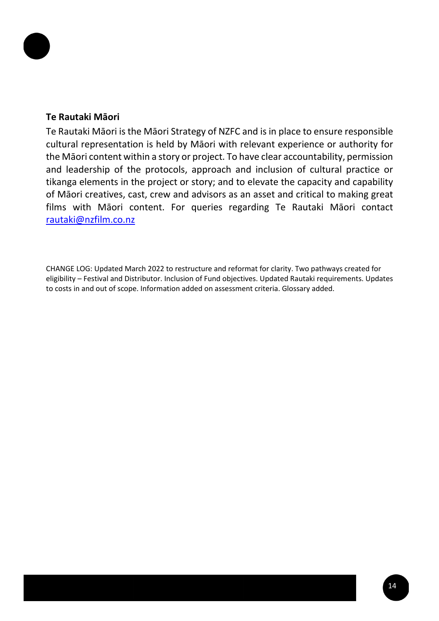

#### **Te Rautaki Māori**

Te Rautaki Māori is the Māori Strategy of NZFC and is in place to ensure responsible cultural representation is held by Māori with relevant experience or authority for the Māori content within a story or project. To have clear accountability, permission and leadership of the protocols, approach and inclusion of cultural practice or tikanga elements in the project or story; and to elevate the capacity and capability of Māori creatives, cast, crew and advisors as an asset and critical to making great films with Māori content. For queries regarding Te Rautaki Māori contact [rautaki@nzfilm.co.nz](mailto:rautaki@nzfilm.co.nz)

CHANGE LOG: Updated March 2022 to restructure and reformat for clarity. Two pathways created for eligibility – Festival and Distributor. Inclusion of Fund objectives. Updated Rautaki requirements. Updates to costs in and out of scope. Information added on assessment criteria. Glossary added.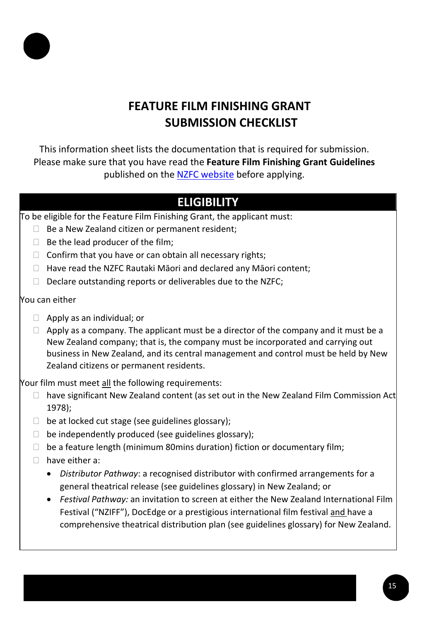

# **FEATURE FILM FINISHING GRANT SUBMISSION CHECKLIST**

This information sheet lists the documentation that is required for submission. Please make sure that you have read the **Feature Film Finishing Grant Guidelines** published on the [NZFC website](https://www.nzfilm.co.nz/funds/boost-fund) before applying.

# **ELIGIBILITY**

To be eligible for the Feature Film Finishing Grant, the applicant must:

- $\Box$  Be a New Zealand citizen or permanent resident;
- $\Box$  Be the lead producer of the film;
- $\Box$  Confirm that you have or can obtain all necessary rights;
- $\Box$  Have read the NZFC Rautaki Māori and declared any Māori content;
- $\Box$  Declare outstanding reports or deliverables due to the NZFC;

### You can either

- $\Box$  Apply as an individual; or
- $\Box$  Apply as a company. The applicant must be a director of the company and it must be a New Zealand company; that is, the company must be incorporated and carrying out business in New Zealand, and its central management and control must be held by New Zealand citizens or permanent residents.

Your film must meet all the following requirements:

- $\Box$  have significant New Zealand content (as set out in the New Zealand Film Commission Act 1978);
- $\Box$  be at locked cut stage (see guidelines glossary);
- $\Box$  be independently produced (see guidelines glossary);
- $\Box$  be a feature length (minimum 80mins duration) fiction or documentary film;
- $\Box$  have either a:
	- *Distributor Pathway*: a recognised distributor with confirmed arrangements for a general theatrical release (see guidelines glossary) in New Zealand; or
	- *Festival Pathway:* an invitation to screen at either the New Zealand International Film Festival ("NZIFF"), DocEdge or a prestigious international film festival and have a comprehensive theatrical distribution plan (see guidelines glossary) for New Zealand.